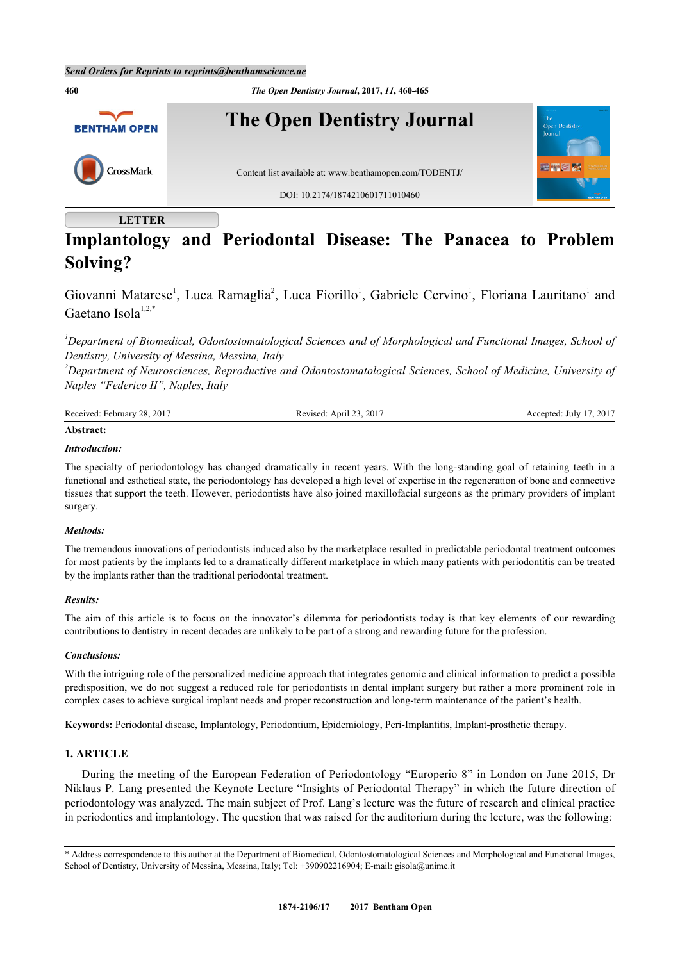

# **Implantology and Periodontal Disease: The Panacea to Problem Solving?**

Giovanni Matarese<sup>[1](#page-0-0)</sup>, Luca Ramaglia<sup>[2](#page-0-1)</sup>, Luca Fiorillo<sup>1</sup>, Gabriele Cervino<sup>1</sup>, Floriana Lauritano<sup>1</sup> and Gaetano Isola $1,2,*$  $1,2,*$  $1,2,*$  $1,2,*$  $1,2,*$ 

<span id="page-0-0"></span>*<sup>1</sup>Department of Biomedical, Odontostomatological Sciences and of Morphological and Functional Images, School of Dentistry, University of Messina, Messina, Italy*

<span id="page-0-1"></span>*<sup>2</sup>Department of Neurosciences, Reproductive and Odontostomatological Sciences, School of Medicine, University of Naples "Federico II", Naples, Italy*

| 2017<br>Received:<br>ി 0<br>ebruary-<br>$\sim$<br>. | $201^{-}$<br>$\sim$<br>Anril<br>Revised | .2017<br>Julv<br>ccented |
|-----------------------------------------------------|-----------------------------------------|--------------------------|
|                                                     |                                         |                          |

# **Abstract:**

### *Introduction:*

The specialty of periodontology has changed dramatically in recent years. With the long-standing goal of retaining teeth in a functional and esthetical state, the periodontology has developed a high level of expertise in the regeneration of bone and connective tissues that support the teeth. However, periodontists have also joined maxillofacial surgeons as the primary providers of implant surgery.

### *Methods:*

The tremendous innovations of periodontists induced also by the marketplace resulted in predictable periodontal treatment outcomes for most patients by the implants led to a dramatically different marketplace in which many patients with periodontitis can be treated by the implants rather than the traditional periodontal treatment.

#### *Results:*

The aim of this article is to focus on the innovator's dilemma for periodontists today is that key elements of our rewarding contributions to dentistry in recent decades are unlikely to be part of a strong and rewarding future for the profession.

#### *Conclusions:*

With the intriguing role of the personalized medicine approach that integrates genomic and clinical information to predict a possible predisposition, we do not suggest a reduced role for periodontists in dental implant surgery but rather a more prominent role in complex cases to achieve surgical implant needs and proper reconstruction and long-term maintenance of the patient's health.

**Keywords:** Periodontal disease, Implantology, Periodontium, Epidemiology, Peri-Implantitis, Implant-prosthetic therapy.

### **1. ARTICLE**

During the meeting of the European Federation of Periodontology "Europerio 8" in London on June 2015, Dr Niklaus P. Lang presented the Keynote Lecture "Insights of Periodontal Therapy" in which the future direction of periodontology was analyzed. The main subject of Prof. Lang's lecture was the future of research and clinical practice in periodontics and implantology. The question that was raised for the auditorium during the lecture, was the following:

<span id="page-0-2"></span><sup>\*</sup> Address correspondence to this author at the Department of Biomedical, Odontostomatological Sciences and Morphological and Functional Images, School of Dentistry, University of Messina, Messina, Italy; Tel: +390902216904; E-mail: [gisola@unime.it](mailto:gisola@unime.it)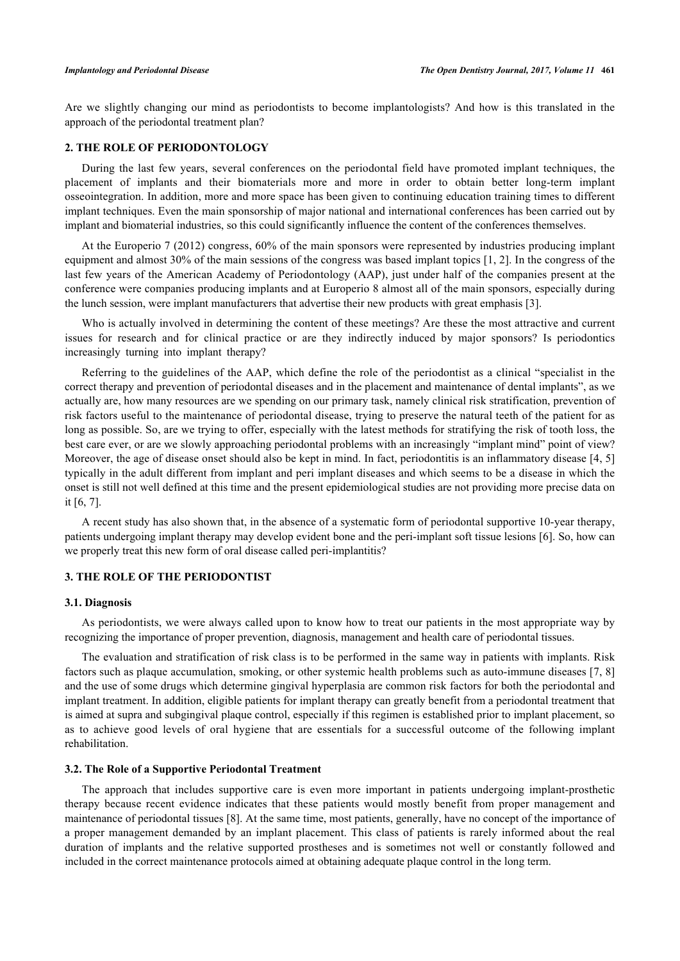Are we slightly changing our mind as periodontists to become implantologists? And how is this translated in the approach of the periodontal treatment plan?

# **2. THE ROLE OF PERIODONTOLOGY**

During the last few years, several conferences on the periodontal field have promoted implant techniques, the placement of implants and their biomaterials more and more in order to obtain better long-term implant osseointegration. In addition, more and more space has been given to continuing education training times to different implant techniques. Even the main sponsorship of major national and international conferences has been carried out by implant and biomaterial industries, so this could significantly influence the content of the conferences themselves.

At the Europerio 7 (2012) congress, 60% of the main sponsors were represented by industries producing implant equipment and almost 30% of the main sessions of the congress was based implant topics [[1](#page-3-0), [2](#page-3-1)]. In the congress of the last few years of the American Academy of Periodontology (AAP), just under half of the companies present at the conference were companies producing implants and at Europerio 8 almost all of the main sponsors, especially during the lunch session, were implant manufacturers that advertise their new products with great emphasis [[3\]](#page-3-2).

Who is actually involved in determining the content of these meetings? Are these the most attractive and current issues for research and for clinical practice or are they indirectly induced by major sponsors? Is periodontics increasingly turning into implant therapy?

Referring to the guidelines of the AAP, which define the role of the periodontist as a clinical "specialist in the correct therapy and prevention of periodontal diseases and in the placement and maintenance of dental implants", as we actually are, how many resources are we spending on our primary task, namely clinical risk stratification, prevention of risk factors useful to the maintenance of periodontal disease, trying to preserve the natural teeth of the patient for as long as possible. So, are we trying to offer, especially with the latest methods for stratifying the risk of tooth loss, the best care ever, or are we slowly approaching periodontal problems with an increasingly "implant mind" point of view? Moreover, the age of disease onset should also be kept in mind. In fact, periodontitis is an inflammatory disease [[4,](#page-4-0) [5](#page-4-1)] typically in the adult different from implant and peri implant diseases and which seems to be a disease in which the onset is still not well defined at this time and the present epidemiological studies are not providing more precise data on it [\[6](#page-4-2), [7](#page-4-3)].

A recent study has also shown that, in the absence of a systematic form of periodontal supportive 10-year therapy, patients undergoing implant therapy may develop evident bone and the peri-implant soft tissue lesions [\[6\]](#page-4-2). So, how can we properly treat this new form of oral disease called peri-implantitis?

#### **3. THE ROLE OF THE PERIODONTIST**

#### **3.1. Diagnosis**

As periodontists, we were always called upon to know how to treat our patients in the most appropriate way by recognizing the importance of proper prevention, diagnosis, management and health care of periodontal tissues.

The evaluation and stratification of risk class is to be performed in the same way in patients with implants. Risk factors such as plaque accumulation, smoking, or other systemic health problems such as auto-immune diseases [[7,](#page-4-3) [8](#page-4-4)] and the use of some drugs which determine gingival hyperplasia are common risk factors for both the periodontal and implant treatment. In addition, eligible patients for implant therapy can greatly benefit from a periodontal treatment that is aimed at supra and subgingival plaque control, especially if this regimen is established prior to implant placement, so as to achieve good levels of oral hygiene that are essentials for a successful outcome of the following implant rehabilitation.

#### **3.2. The Role of a Supportive Periodontal Treatment**

The approach that includes supportive care is even more important in patients undergoing implant-prosthetic therapy because recent evidence indicates that these patients would mostly benefit from proper management and maintenance of periodontal tissues [[8\]](#page-4-4). At the same time, most patients, generally, have no concept of the importance of a proper management demanded by an implant placement. This class of patients is rarely informed about the real duration of implants and the relative supported prostheses and is sometimes not well or constantly followed and included in the correct maintenance protocols aimed at obtaining adequate plaque control in the long term.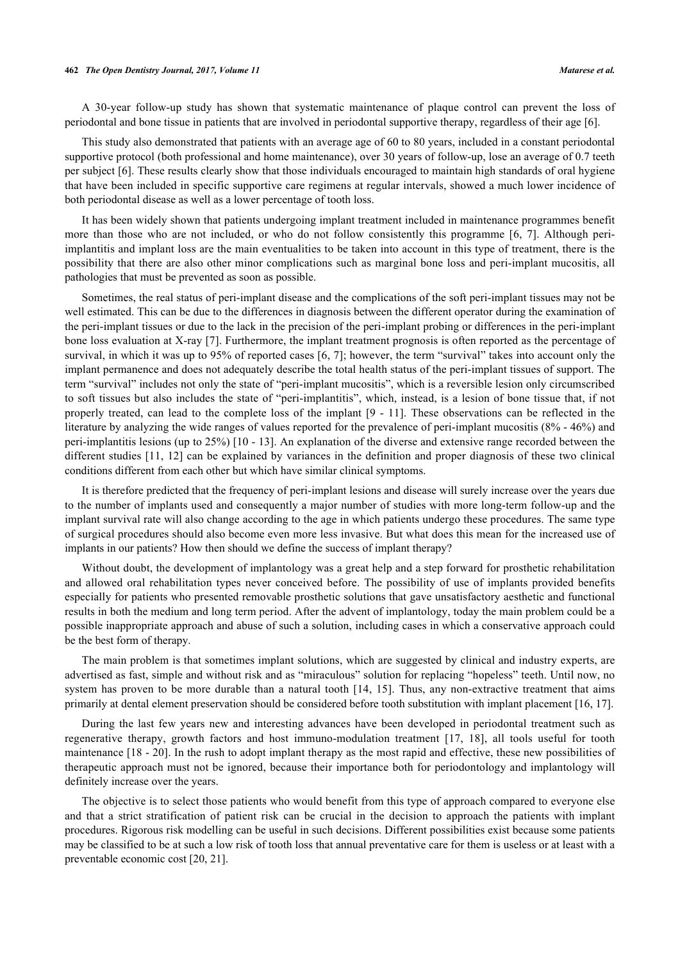A 30-year follow-up study has shown that systematic maintenance of plaque control can prevent the loss of periodontal and bone tissue in patients that are involved in periodontal supportive therapy, regardless of their age [[6\]](#page-4-2).

This study also demonstrated that patients with an average age of 60 to 80 years, included in a constant periodontal supportive protocol (both professional and home maintenance), over 30 years of follow-up, lose an average of 0.7 teeth per subject [[6\]](#page-4-2). These results clearly show that those individuals encouraged to maintain high standards of oral hygiene that have been included in specific supportive care regimens at regular intervals, showed a much lower incidence of both periodontal disease as well as a lower percentage of tooth loss.

It has been widely shown that patients undergoing implant treatment included in maintenance programmes benefit more than those who are not included, or who do not follow consistently this programme[[6,](#page-4-2) [7](#page-4-3)]. Although periimplantitis and implant loss are the main eventualities to be taken into account in this type of treatment, there is the possibility that there are also other minor complications such as marginal bone loss and peri-implant mucositis, all pathologies that must be prevented as soon as possible.

Sometimes, the real status of peri-implant disease and the complications of the soft peri-implant tissues may not be well estimated. This can be due to the differences in diagnosis between the different operator during the examination of the peri-implant tissues or due to the lack in the precision of the peri-implant probing or differences in the peri-implant bone loss evaluation at X-ray [\[7](#page-4-3)]. Furthermore, the implant treatment prognosis is often reported as the percentage of survival, in which it was up to 95% of reported cases [[6,](#page-4-2) [7](#page-4-3)]; however, the term "survival" takes into account only the implant permanence and does not adequately describe the total health status of the peri-implant tissues of support. The term "survival" includes not only the state of "peri-implant mucositis", which is a reversible lesion only circumscribed to soft tissues but also includes the state of "peri-implantitis", which, instead, is a lesion of bone tissue that, if not properly treated, can lead to the complete loss of the implant [[9](#page-4-5) - [11](#page-4-6)]. These observations can be reflected in the literature by analyzing the wide ranges of values reported for the prevalence of peri-implant mucositis (8% - 46%) and peri-implantitis lesions (up to 25%) [[10](#page-4-7) - [13\]](#page-4-8). An explanation of the diverse and extensive range recorded between the different studies [[11,](#page-4-6) [12\]](#page-4-9) can be explained by variances in the definition and proper diagnosis of these two clinical conditions different from each other but which have similar clinical symptoms.

It is therefore predicted that the frequency of peri-implant lesions and disease will surely increase over the years due to the number of implants used and consequently a major number of studies with more long-term follow-up and the implant survival rate will also change according to the age in which patients undergo these procedures. The same type of surgical procedures should also become even more less invasive. But what does this mean for the increased use of implants in our patients? How then should we define the success of implant therapy?

Without doubt, the development of implantology was a great help and a step forward for prosthetic rehabilitation and allowed oral rehabilitation types never conceived before. The possibility of use of implants provided benefits especially for patients who presented removable prosthetic solutions that gave unsatisfactory aesthetic and functional results in both the medium and long term period. After the advent of implantology, today the main problem could be a possible inappropriate approach and abuse of such a solution, including cases in which a conservative approach could be the best form of therapy.

The main problem is that sometimes implant solutions, which are suggested by clinical and industry experts, are advertised as fast, simple and without risk and as "miraculous" solution for replacing "hopeless" teeth. Until now, no system has proven to be more durable than a natural tooth [[14](#page-4-10), [15\]](#page-4-11). Thus, any non-extractive treatment that aims primarily at dental element preservation should be considered before tooth substitution with implant placement [[16,](#page-4-12) [17\]](#page-4-13).

During the last few years new and interesting advances have been developed in periodontal treatment such as regenerative therapy, growth factors and host immuno-modulation treatment[[17](#page-4-13), [18\]](#page-4-14), all tools useful for tooth maintenance [\[18](#page-4-14) - [20\]](#page-4-15). In the rush to adopt implant therapy as the most rapid and effective, these new possibilities of therapeutic approach must not be ignored, because their importance both for periodontology and implantology will definitely increase over the years.

The objective is to select those patients who would benefit from this type of approach compared to everyone else and that a strict stratification of patient risk can be crucial in the decision to approach the patients with implant procedures. Rigorous risk modelling can be useful in such decisions. Different possibilities exist because some patients may be classified to be at such a low risk of tooth loss that annual preventative care for them is useless or at least with a preventable economic cost [\[20](#page-4-15), [21](#page-4-16)].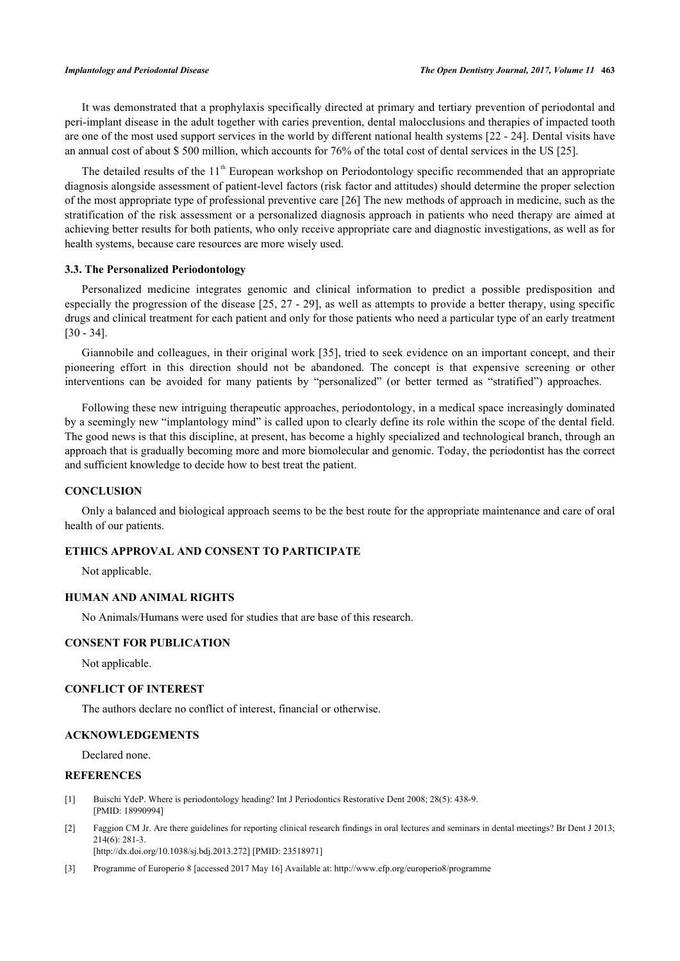It was demonstrated that a prophylaxis specifically directed at primary and tertiary prevention of periodontal and peri-implant disease in the adult together with caries prevention, dental malocclusions and therapies of impacted tooth are one of the most used support services in the world by different national health systems [[22](#page-4-17) - [24](#page-5-0)]. Dental visits have an annual cost of about \$ 500 million, which accounts for 76% of the total cost of dental services in the US [[25\]](#page-5-1).

The detailed results of the  $11<sup>th</sup>$  European workshop on Periodontology specific recommended that an appropriate diagnosis alongside assessment of patient-level factors (risk factor and attitudes) should determine the proper selection of the most appropriate type of professional preventive care [\[26](#page-5-2)] The new methods of approach in medicine, such as the stratification of the risk assessment or a personalized diagnosis approach in patients who need therapy are aimed at achieving better results for both patients, who only receive appropriate care and diagnostic investigations, as well as for health systems, because care resources are more wisely used.

# **3.3. The Personalized Periodontology**

Personalized medicine integrates genomic and clinical information to predict a possible predisposition and especially the progression of the disease [[25](#page-5-1), [27](#page-5-3) - [29\]](#page-5-4), as well as attempts to provide a better therapy, using specific drugs and clinical treatment for each patient and only for those patients who need a particular type of an early treatment [\[30](#page-5-5) - [34](#page-5-6)].

Giannobile and colleagues, in their original work [[35\]](#page-5-7), tried to seek evidence on an important concept, and their pioneering effort in this direction should not be abandoned. The concept is that expensive screening or other interventions can be avoided for many patients by "personalized" (or better termed as "stratified") approaches.

Following these new intriguing therapeutic approaches, periodontology, in a medical space increasingly dominated by a seemingly new "implantology mind" is called upon to clearly define its role within the scope of the dental field. The good news is that this discipline, at present, has become a highly specialized and technological branch, through an approach that is gradually becoming more and more biomolecular and genomic. Today, the periodontist has the correct and sufficient knowledge to decide how to best treat the patient.

#### **CONCLUSION**

Only a balanced and biological approach seems to be the best route for the appropriate maintenance and care of oral health of our patients.

# **ETHICS APPROVAL AND CONSENT TO PARTICIPATE**

Not applicable.

# **HUMAN AND ANIMAL RIGHTS**

No Animals/Humans were used for studies that are base of this research.

# **CONSENT FOR PUBLICATION**

Not applicable.

# **CONFLICT OF INTEREST**

The authors declare no conflict of interest, financial or otherwise.

### **ACKNOWLEDGEMENTS**

Declared none.

#### **REFERENCES**

- <span id="page-3-0"></span>[1] Buischi YdeP. Where is periodontology heading? Int J Periodontics Restorative Dent 2008; 28(5): 438-9. [PMID: [18990994\]](http://www.ncbi.nlm.nih.gov/pubmed/18990994)
- <span id="page-3-1"></span>[2] Faggion CM Jr. Are there guidelines for reporting clinical research findings in oral lectures and seminars in dental meetings? Br Dent J 2013; 214(6): 281-3. [\[http://dx.doi.org/10.1038/sj.bdj.2013.272](http://dx.doi.org/10.1038/sj.bdj.2013.272)] [PMID: [23518971\]](http://www.ncbi.nlm.nih.gov/pubmed/23518971)
- <span id="page-3-2"></span>[3] Programme of Europerio 8 [accessed 2017 May 16] Available at: <http://www.efp.org/europerio8/programme>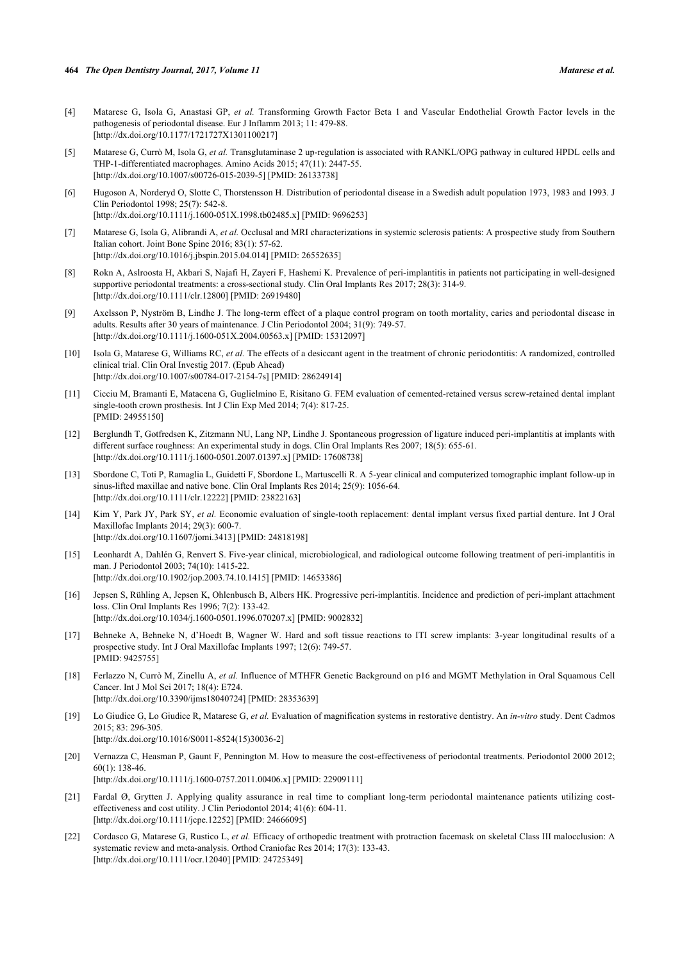- <span id="page-4-0"></span>[4] Matarese G, Isola G, Anastasi GP, *et al.* Transforming Growth Factor Beta 1 and Vascular Endothelial Growth Factor levels in the pathogenesis of periodontal disease. Eur J Inflamm 2013; 11: 479-88. [\[http://dx.doi.org/10.1177/1721727X1301100217\]](http://dx.doi.org/10.1177/1721727X1301100217)
- <span id="page-4-1"></span>[5] Matarese G, Currò M, Isola G, *et al.* Transglutaminase 2 up-regulation is associated with RANKL/OPG pathway in cultured HPDL cells and THP-1-differentiated macrophages. Amino Acids 2015; 47(11): 2447-55. [\[http://dx.doi.org/10.1007/s00726-015-2039-5\]](http://dx.doi.org/10.1007/s00726-015-2039-5) [PMID: [26133738](http://www.ncbi.nlm.nih.gov/pubmed/26133738)]
- <span id="page-4-2"></span>[6] Hugoson A, Norderyd O, Slotte C, Thorstensson H. Distribution of periodontal disease in a Swedish adult population 1973, 1983 and 1993. J Clin Periodontol 1998; 25(7): 542-8. [\[http://dx.doi.org/10.1111/j.1600-051X.1998.tb02485.x\]](http://dx.doi.org/10.1111/j.1600-051X.1998.tb02485.x) [PMID: [9696253](http://www.ncbi.nlm.nih.gov/pubmed/9696253)]
- <span id="page-4-3"></span>[7] Matarese G, Isola G, Alibrandi A, *et al.* Occlusal and MRI characterizations in systemic sclerosis patients: A prospective study from Southern Italian cohort. Joint Bone Spine 2016; 83(1): 57-62. [\[http://dx.doi.org/10.1016/j.jbspin.2015.04.014\]](http://dx.doi.org/10.1016/j.jbspin.2015.04.014) [PMID: [26552635](http://www.ncbi.nlm.nih.gov/pubmed/26552635)]
- <span id="page-4-4"></span>[8] Rokn A, Aslroosta H, Akbari S, Najafi H, Zayeri F, Hashemi K. Prevalence of peri-implantitis in patients not participating in well-designed supportive periodontal treatments: a cross-sectional study. Clin Oral Implants Res 2017; 28(3): 314-9. [\[http://dx.doi.org/10.1111/clr.12800](http://dx.doi.org/10.1111/clr.12800)] [PMID: [26919480\]](http://www.ncbi.nlm.nih.gov/pubmed/26919480)
- <span id="page-4-5"></span>[9] Axelsson P, Nyström B, Lindhe J. The long-term effect of a plaque control program on tooth mortality, caries and periodontal disease in adults. Results after 30 years of maintenance. J Clin Periodontol 2004; 31(9): 749-57. [\[http://dx.doi.org/10.1111/j.1600-051X.2004.00563.x](http://dx.doi.org/10.1111/j.1600-051X.2004.00563.x)] [PMID: [15312097](http://www.ncbi.nlm.nih.gov/pubmed/15312097)]
- <span id="page-4-7"></span>[10] Isola G, Matarese G, Williams RC, *et al.* The effects of a desiccant agent in the treatment of chronic periodontitis: A randomized, controlled clinical trial. Clin Oral Investig 2017. (Epub Ahead) [\[http://dx.doi.org/10.1007/s00784-017-2154-7s](http://dx.doi.org/10.1007/s00784-017-2154-7s)] [PMID: [28624914\]](http://www.ncbi.nlm.nih.gov/pubmed/28624914)
- <span id="page-4-6"></span>[11] Cicciu M, Bramanti E, Matacena G, Guglielmino E, Risitano G. FEM evaluation of cemented-retained versus screw-retained dental implant single-tooth crown prosthesis. Int J Clin Exp Med 2014; 7(4): 817-25. [PMID: [24955150\]](http://www.ncbi.nlm.nih.gov/pubmed/24955150)
- <span id="page-4-9"></span>[12] Berglundh T, Gotfredsen K, Zitzmann NU, Lang NP, Lindhe J. Spontaneous progression of ligature induced peri-implantitis at implants with different surface roughness: An experimental study in dogs. Clin Oral Implants Res 2007; 18(5): 655-61. [\[http://dx.doi.org/10.1111/j.1600-0501.2007.01397.x\]](http://dx.doi.org/10.1111/j.1600-0501.2007.01397.x) [PMID: [17608738](http://www.ncbi.nlm.nih.gov/pubmed/17608738)]
- <span id="page-4-8"></span>[13] Sbordone C, Toti P, Ramaglia L, Guidetti F, Sbordone L, Martuscelli R. A 5-year clinical and computerized tomographic implant follow-up in sinus-lifted maxillae and native bone. Clin Oral Implants Res 2014; 25(9): 1056-64. [\[http://dx.doi.org/10.1111/clr.12222](http://dx.doi.org/10.1111/clr.12222)] [PMID: [23822163\]](http://www.ncbi.nlm.nih.gov/pubmed/23822163)
- <span id="page-4-10"></span>[14] Kim Y, Park JY, Park SY, et al. Economic evaluation of single-tooth replacement: dental implant versus fixed partial denture. Int J Oral Maxillofac Implants 2014; 29(3): 600-7. [\[http://dx.doi.org/10.11607/jomi.3413](http://dx.doi.org/10.11607/jomi.3413)] [PMID: [24818198](http://www.ncbi.nlm.nih.gov/pubmed/24818198)]
- <span id="page-4-11"></span>[15] Leonhardt A, Dahlén G, Renvert S. Five-year clinical, microbiological, and radiological outcome following treatment of peri-implantitis in man. J Periodontol 2003; 74(10): 1415-22. [\[http://dx.doi.org/10.1902/jop.2003.74.10.1415](http://dx.doi.org/10.1902/jop.2003.74.10.1415)] [PMID: [14653386\]](http://www.ncbi.nlm.nih.gov/pubmed/14653386)
- <span id="page-4-12"></span>[16] Jepsen S, Rühling A, Jepsen K, Ohlenbusch B, Albers HK. Progressive peri-implantitis. Incidence and prediction of peri-implant attachment loss. Clin Oral Implants Res 1996; 7(2): 133-42. [\[http://dx.doi.org/10.1034/j.1600-0501.1996.070207.x\]](http://dx.doi.org/10.1034/j.1600-0501.1996.070207.x) [PMID: [9002832](http://www.ncbi.nlm.nih.gov/pubmed/9002832)]
- <span id="page-4-13"></span>[17] Behneke A, Behneke N, d'Hoedt B, Wagner W. Hard and soft tissue reactions to ITI screw implants: 3-year longitudinal results of a prospective study. Int J Oral Maxillofac Implants 1997; 12(6): 749-57. [PMID: [9425755\]](http://www.ncbi.nlm.nih.gov/pubmed/9425755)
- <span id="page-4-14"></span>[18] Ferlazzo N, Currò M, Zinellu A, *et al.* Influence of MTHFR Genetic Background on p16 and MGMT Methylation in Oral Squamous Cell Cancer. Int J Mol Sci 2017; 18(4): E724. [\[http://dx.doi.org/10.3390/ijms18040724\]](http://dx.doi.org/10.3390/ijms18040724) [PMID: [28353639](http://www.ncbi.nlm.nih.gov/pubmed/28353639)]
- [19] Lo Giudice G, Lo Giudice R, Matarese G, *et al.* Evaluation of magnification systems in restorative dentistry. An *in-vitro* study. Dent Cadmos 2015; 83: 296-305. [\[http://dx.doi.org/10.1016/S0011-8524\(15\)30036-2\]](http://dx.doi.org/10.1016/S0011-8524(15)30036-2)
- <span id="page-4-15"></span>[20] Vernazza C, Heasman P, Gaunt F, Pennington M. How to measure the cost-effectiveness of periodontal treatments. Periodontol 2000 2012; 60(1): 138-46. [\[http://dx.doi.org/10.1111/j.1600-0757.2011.00406.x\]](http://dx.doi.org/10.1111/j.1600-0757.2011.00406.x) [PMID: [22909111](http://www.ncbi.nlm.nih.gov/pubmed/22909111)]
- <span id="page-4-16"></span>[21] Fardal Ø, Grytten J. Applying quality assurance in real time to compliant long-term periodontal maintenance patients utilizing costeffectiveness and cost utility. J Clin Periodontol 2014; 41(6): 604-11. [\[http://dx.doi.org/10.1111/jcpe.12252](http://dx.doi.org/10.1111/jcpe.12252)] [PMID: [24666095\]](http://www.ncbi.nlm.nih.gov/pubmed/24666095)
- <span id="page-4-17"></span>[22] Cordasco G, Matarese G, Rustico L, *et al.* Efficacy of orthopedic treatment with protraction facemask on skeletal Class III malocclusion: A systematic review and meta-analysis. Orthod Craniofac Res 2014; 17(3): 133-43. [\[http://dx.doi.org/10.1111/ocr.12040](http://dx.doi.org/10.1111/ocr.12040)] [PMID: [24725349\]](http://www.ncbi.nlm.nih.gov/pubmed/24725349)